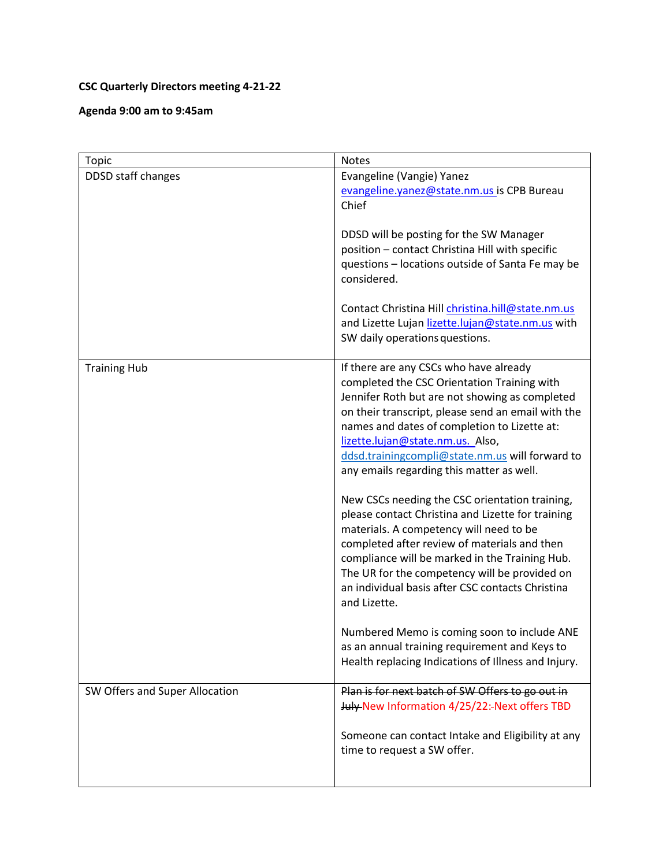## **CSC Quarterly Directors meeting 4-21-22**

**Agenda 9:00 am to 9:45am**

| <b>Topic</b>                   | <b>Notes</b>                                                                                                                                                                                                                                                                                                                                                                      |
|--------------------------------|-----------------------------------------------------------------------------------------------------------------------------------------------------------------------------------------------------------------------------------------------------------------------------------------------------------------------------------------------------------------------------------|
| DDSD staff changes             | Evangeline (Vangie) Yanez<br>evangeline.yanez@state.nm.us is CPB Bureau<br>Chief                                                                                                                                                                                                                                                                                                  |
|                                | DDSD will be posting for the SW Manager<br>position - contact Christina Hill with specific<br>questions - locations outside of Santa Fe may be<br>considered.                                                                                                                                                                                                                     |
|                                | Contact Christina Hill christina.hill@state.nm.us<br>and Lizette Lujan lizette.lujan@state.nm.us with<br>SW daily operations questions.                                                                                                                                                                                                                                           |
| <b>Training Hub</b>            | If there are any CSCs who have already<br>completed the CSC Orientation Training with<br>Jennifer Roth but are not showing as completed<br>on their transcript, please send an email with the<br>names and dates of completion to Lizette at:<br>lizette.lujan@state.nm.us. Also,<br>ddsd.trainingcompli@state.nm.us will forward to<br>any emails regarding this matter as well. |
|                                | New CSCs needing the CSC orientation training,<br>please contact Christina and Lizette for training<br>materials. A competency will need to be<br>completed after review of materials and then<br>compliance will be marked in the Training Hub.<br>The UR for the competency will be provided on<br>an individual basis after CSC contacts Christina<br>and Lizette.             |
|                                | Numbered Memo is coming soon to include ANE<br>as an annual training requirement and Keys to<br>Health replacing Indications of Illness and Injury.                                                                                                                                                                                                                               |
| SW Offers and Super Allocation | Plan is for next batch of SW Offers to go out in<br>July New Information 4/25/22:- Next offers TBD                                                                                                                                                                                                                                                                                |
|                                | Someone can contact Intake and Eligibility at any<br>time to request a SW offer.                                                                                                                                                                                                                                                                                                  |